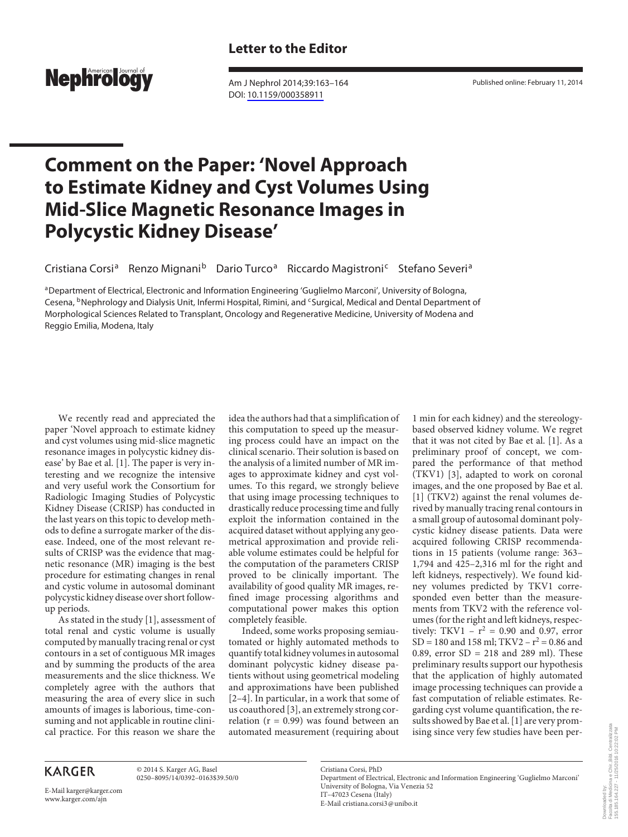

 Am J Nephrol 2014;39:163–164 DOI: [10.1159/000358911](http://dx.doi.org/10.1159%2F000358911)

Published online: February 11, 2014

## **Comment on the Paper: 'Novel Approach to Estimate Kidney and Cyst Volumes Using Mid-Slice Magnetic Resonance Images in Polycystic Kidney Disease'**

Cristiana Corsi<sup>a</sup> Renzo Mignani<sup>b</sup> Dario Turco<sup>a</sup> Riccardo Magistroni<sup>c</sup> Stefano Severi<sup>a</sup>

a Department of Electrical, Electronic and Information Engineering 'Guglielmo Marconi', University of Bologna, Cesena, <sup>b</sup>Nephrology and Dialysis Unit, Infermi Hospital, Rimini, and <sup>c</sup>Surgical, Medical and Dental Department of Morphological Sciences Related to Transplant, Oncology and Regenerative Medicine, University of Modena and Reggio Emilia, Modena, Italy

 We recently read and appreciated the paper 'Novel approach to estimate kidney and cyst volumes using mid-slice magnetic resonance images in polycystic kidney disease' by Bae et al. [1]. The paper is very interesting and we recognize the intensive and very useful work the Consortium for Radiologic Imaging Studies of Polycystic Kidney Disease (CRISP) has conducted in the last years on this topic to develop methods to define a surrogate marker of the disease. Indeed, one of the most relevant results of CRISP was the evidence that magnetic resonance (MR) imaging is the best procedure for estimating changes in renal and cystic volume in autosomal dominant polycystic kidney disease over short followup periods.

As stated in the study [1], assessment of total renal and cystic volume is usually computed by manually tracing renal or cyst contours in a set of contiguous MR images and by summing the products of the area measurements and the slice thickness. We completely agree with the authors that measuring the area of every slice in such amounts of images is laborious, time-consuming and not applicable in routine clinical practice. For this reason we share the

idea the authors had that a simplification of this computation to speed up the measuring process could have an impact on the clinical scenario. Their solution is based on the analysis of a limited number of MR images to approximate kidney and cyst volumes. To this regard, we strongly believe that using image processing techniques to drastically reduce processing time and fully exploit the information contained in the acquired dataset without applying any geometrical approximation and provide reliable volume estimates could be helpful for the computation of the parameters CRISP proved to be clinically important. The availability of good quality MR images, refined image processing algorithms and computational power makes this option completely feasible.

 Indeed, some works proposing semiautomated or highly automated methods to quantify total kidney volumes in autosomal dominant polycystic kidney disease patients without using geometrical modeling and approximations have been published [2–4]. In particular, in a work that some of us coauthored [3], an extremely strong correlation ( $r = 0.99$ ) was found between an automated measurement (requiring about

1 min for each kidney) and the stereologybased observed kidney volume. We regret that it was not cited by Bae et al. [1]. As a preliminary proof of concept, we compared the performance of that method  $(TKV1)$  [3], adapted to work on coronal images, and the one proposed by Bae et al. [1] (TKV2) against the renal volumes derived by manually tracing renal contours in a small group of autosomal dominant polycystic kidney disease patients. Data were acquired following CRISP recommendations in 15 patients (volume range: 363– 1,794 and 425–2,316 ml for the right and left kidneys, respectively). We found kidney volumes predicted by TKV1 corresponded even better than the measurements from TKV2 with the reference volumes (for the right and left kidneys, respectively: TKV1 –  $r^2$  = 0.90 and 0.97, error  $SD = 180$  and 158 ml; TKV2 –  $r^2 = 0.86$  and 0.89, error SD = 218 and 289 ml). These preliminary results support our hypothesis that the application of highly automated image processing techniques can provide a fast computation of reliable estimates. Regarding cyst volume quantification, the results showed by Bae et al. [1] are very promising since very few studies have been per-

 © 2014 S. Karger AG, Basel 0250–8095/14/0392–0163\$39.50/0

E-Mail karger@karger.com www.karger.com/ajn

 Cristiana Corsi, PhD Department of Electrical, Electronic and Information Engineering 'Guglielmo Marconi' University of Bologna, Via Venezia 52

 IT–47023 Cesena (Italy) E-Mail cristiana.corsi3@unibo.it